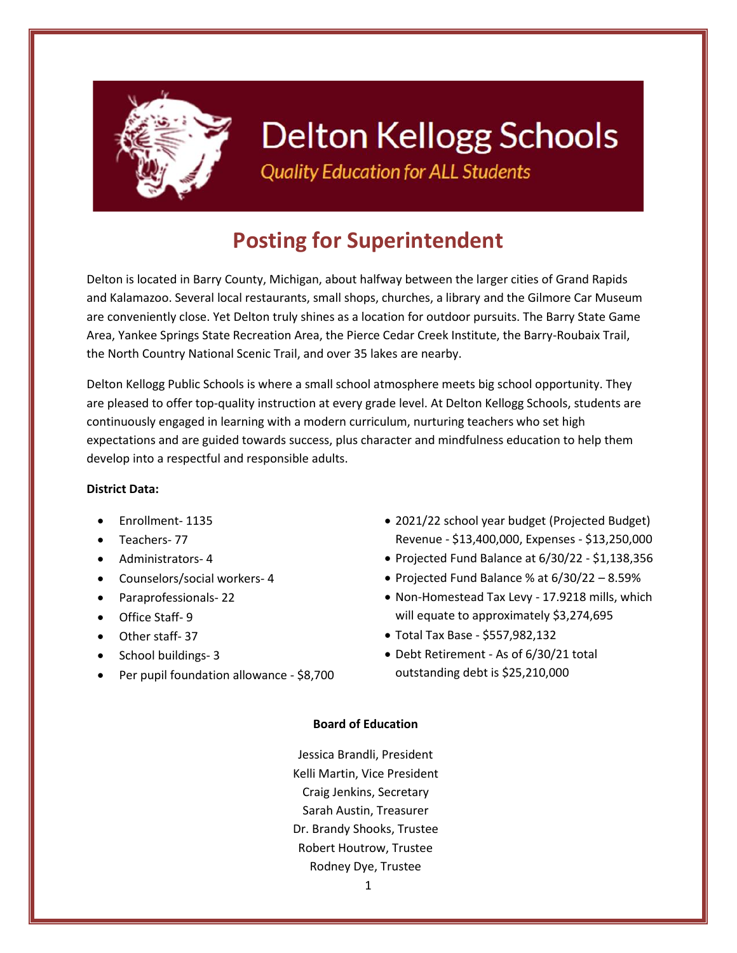

# **Delton Kellogg Schools**

**Quality Education for ALL Students** 

# **Posting for Superintendent**

Delton is located in Barry County, Michigan, about halfway between the larger cities of Grand Rapids and Kalamazoo. Several local restaurants, small shops, churches, a library and the Gilmore Car Museum are conveniently close. Yet Delton truly shines as a location for outdoor pursuits. The Barry State Game Area, Yankee Springs State Recreation Area, the Pierce Cedar Creek Institute, the Barry-Roubaix Trail, the North Country National Scenic Trail, and over 35 lakes are nearby.

Delton Kellogg Public Schools is where a small school atmosphere meets big school opportunity. They are pleased to offer top-quality instruction at every grade level. At Delton Kellogg Schools, students are continuously engaged in learning with a modern curriculum, nurturing teachers who set high expectations and are guided towards success, plus character and mindfulness education to help them develop into a respectful and responsible adults.

## **District Data:**

- Enrollment- 1135
- Teachers- 77
- Administrators- 4
- Counselors/social workers- 4
- Paraprofessionals- 22
- Office Staff- 9
- Other staff-37
- School buildings- 3
- Per pupil foundation allowance \$8,700
- 2021/22 school year budget (Projected Budget) Revenue - \$13,400,000, Expenses - \$13,250,000
- Projected Fund Balance at 6/30/22 \$1,138,356
- Projected Fund Balance % at 6/30/22 8.59%
- Non-Homestead Tax Levy 17.9218 mills, which will equate to approximately \$3,274,695
- Total Tax Base \$557,982,132
- Debt Retirement As of 6/30/21 total outstanding debt is \$25,210,000

## **Board of Education**

Jessica Brandli, President Kelli Martin, Vice President Craig Jenkins, Secretary Sarah Austin, Treasurer Dr. Brandy Shooks, Trustee Robert Houtrow, Trustee Rodney Dye, Trustee